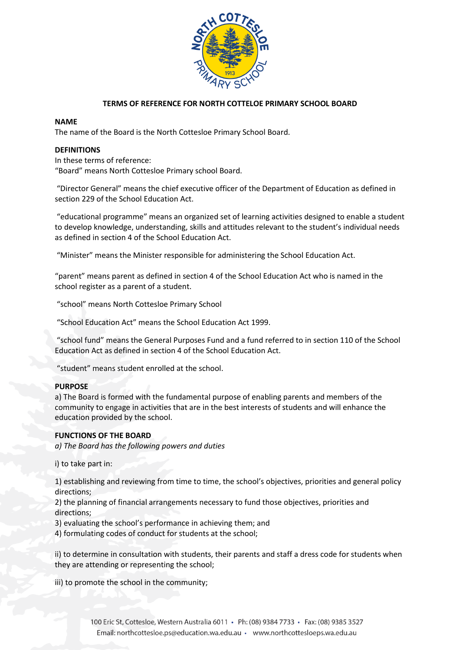

# **TERMS OF REFERENCE FOR NORTH COTTELOE PRIMARY SCHOOL BOARD**

## **NAME**

The name of the Board is the North Cottesloe Primary School Board.

## **DEFINITIONS**

In these terms of reference: "Board" means North Cottesloe Primary school Board.

"Director General" means the chief executive officer of the Department of Education as defined in section 229 of the School Education Act.

"educational programme" means an organized set of learning activities designed to enable a student to develop knowledge, understanding, skills and attitudes relevant to the student's individual needs as defined in section 4 of the School Education Act.

"Minister" means the Minister responsible for administering the School Education Act.

"parent" means parent as defined in section 4 of the School Education Act who is named in the school register as a parent of a student.

"school" means North Cottesloe Primary School

"School Education Act" means the School Education Act 1999.

"school fund" means the General Purposes Fund and a fund referred to in section 110 of the School Education Act as defined in section 4 of the School Education Act.

"student" means student enrolled at the school.

## **PURPOSE**

a) The Board is formed with the fundamental purpose of enabling parents and members of the community to engage in activities that are in the best interests of students and will enhance the education provided by the school.

## **FUNCTIONS OF THE BOARD**

*a) The Board has the following powers and duties* 

i) to take part in:

1) establishing and reviewing from time to time, the school's objectives, priorities and general policy directions;

2) the planning of financial arrangements necessary to fund those objectives, priorities and directions;

3) evaluating the school's performance in achieving them; and

4) formulating codes of conduct for students at the school;

ii) to determine in consultation with students, their parents and staff a dress code for students when they are attending or representing the school;

iii) to promote the school in the community;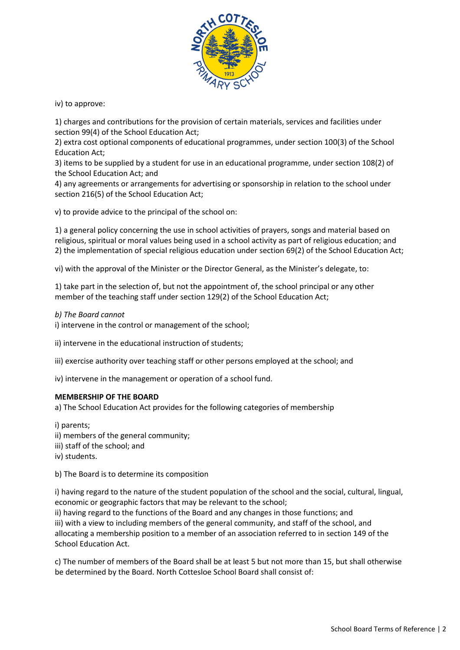

iv) to approve:

1) charges and contributions for the provision of certain materials, services and facilities under section 99(4) of the School Education Act;

2) extra cost optional components of educational programmes, under section 100(3) of the School Education Act;

3) items to be supplied by a student for use in an educational programme, under section 108(2) of the School Education Act; and

4) any agreements or arrangements for advertising or sponsorship in relation to the school under section 216(5) of the School Education Act;

v) to provide advice to the principal of the school on:

1) a general policy concerning the use in school activities of prayers, songs and material based on religious, spiritual or moral values being used in a school activity as part of religious education; and 2) the implementation of special religious education under section 69(2) of the School Education Act;

vi) with the approval of the Minister or the Director General, as the Minister's delegate, to:

1) take part in the selection of, but not the appointment of, the school principal or any other member of the teaching staff under section 129(2) of the School Education Act;

*b) The Board cannot* 

i) intervene in the control or management of the school;

ii) intervene in the educational instruction of students;

iii) exercise authority over teaching staff or other persons employed at the school; and

iv) intervene in the management or operation of a school fund.

## **MEMBERSHIP OF THE BOARD**

a) The School Education Act provides for the following categories of membership

i) parents; ii) members of the general community; iii) staff of the school; and iv) students.

b) The Board is to determine its composition

i) having regard to the nature of the student population of the school and the social, cultural, lingual, economic or geographic factors that may be relevant to the school;

ii) having regard to the functions of the Board and any changes in those functions; and iii) with a view to including members of the general community, and staff of the school, and allocating a membership position to a member of an association referred to in section 149 of the School Education Act.

c) The number of members of the Board shall be at least 5 but not more than 15, but shall otherwise be determined by the Board. North Cottesloe School Board shall consist of: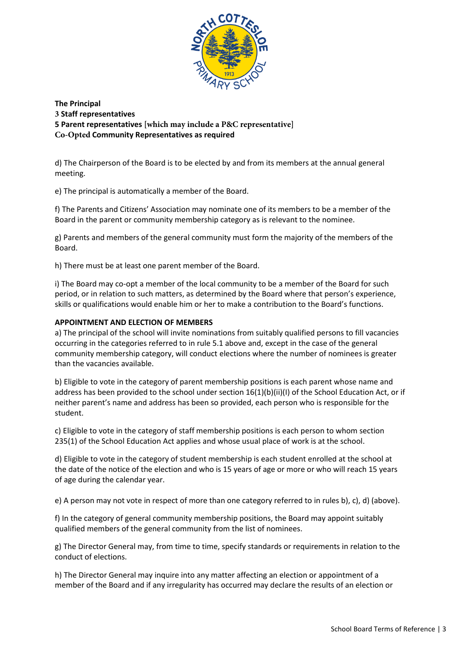

**The Principal 3 Staff representatives 5 Parent representatives [which may include a P&C representative] Co-Opted Community Representatives as required** 

d) The Chairperson of the Board is to be elected by and from its members at the annual general meeting.

e) The principal is automatically a member of the Board.

f) The Parents and Citizens' Association may nominate one of its members to be a member of the Board in the parent or community membership category as is relevant to the nominee.

g) Parents and members of the general community must form the majority of the members of the Board.

h) There must be at least one parent member of the Board.

i) The Board may co-opt a member of the local community to be a member of the Board for such period, or in relation to such matters, as determined by the Board where that person's experience, skills or qualifications would enable him or her to make a contribution to the Board's functions.

## **APPOINTMENT AND ELECTION OF MEMBERS**

a) The principal of the school will invite nominations from suitably qualified persons to fill vacancies occurring in the categories referred to in rule 5.1 above and, except in the case of the general community membership category, will conduct elections where the number of nominees is greater than the vacancies available.

b) Eligible to vote in the category of parent membership positions is each parent whose name and address has been provided to the school under section 16(1)(b)(ii)(l) of the School Education Act, or if neither parent's name and address has been so provided, each person who is responsible for the student.

c) Eligible to vote in the category of staff membership positions is each person to whom section 235(1) of the School Education Act applies and whose usual place of work is at the school.

d) Eligible to vote in the category of student membership is each student enrolled at the school at the date of the notice of the election and who is 15 years of age or more or who will reach 15 years of age during the calendar year.

e) A person may not vote in respect of more than one category referred to in rules b), c), d) (above).

f) In the category of general community membership positions, the Board may appoint suitably qualified members of the general community from the list of nominees.

g) The Director General may, from time to time, specify standards or requirements in relation to the conduct of elections.

h) The Director General may inquire into any matter affecting an election or appointment of a member of the Board and if any irregularity has occurred may declare the results of an election or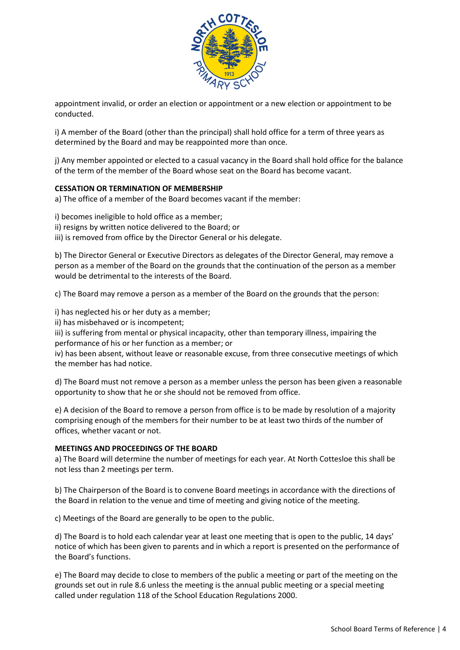

appointment invalid, or order an election or appointment or a new election or appointment to be conducted.

i) A member of the Board (other than the principal) shall hold office for a term of three years as determined by the Board and may be reappointed more than once.

j) Any member appointed or elected to a casual vacancy in the Board shall hold office for the balance of the term of the member of the Board whose seat on the Board has become vacant.

## **CESSATION OR TERMINATION OF MEMBERSHIP**

a) The office of a member of the Board becomes vacant if the member:

i) becomes ineligible to hold office as a member;

ii) resigns by written notice delivered to the Board; or

iii) is removed from office by the Director General or his delegate.

b) The Director General or Executive Directors as delegates of the Director General, may remove a person as a member of the Board on the grounds that the continuation of the person as a member would be detrimental to the interests of the Board.

c) The Board may remove a person as a member of the Board on the grounds that the person:

i) has neglected his or her duty as a member;

ii) has misbehaved or is incompetent;

iii) is suffering from mental or physical incapacity, other than temporary illness, impairing the performance of his or her function as a member; or

iv) has been absent, without leave or reasonable excuse, from three consecutive meetings of which the member has had notice.

d) The Board must not remove a person as a member unless the person has been given a reasonable opportunity to show that he or she should not be removed from office.

e) A decision of the Board to remove a person from office is to be made by resolution of a majority comprising enough of the members for their number to be at least two thirds of the number of offices, whether vacant or not.

## **MEETINGS AND PROCEEDINGS OF THE BOARD**

a) The Board will determine the number of meetings for each year. At North Cottesloe this shall be not less than 2 meetings per term.

b) The Chairperson of the Board is to convene Board meetings in accordance with the directions of the Board in relation to the venue and time of meeting and giving notice of the meeting.

c) Meetings of the Board are generally to be open to the public.

d) The Board is to hold each calendar year at least one meeting that is open to the public, 14 days' notice of which has been given to parents and in which a report is presented on the performance of the Board's functions.

e) The Board may decide to close to members of the public a meeting or part of the meeting on the grounds set out in rule 8.6 unless the meeting is the annual public meeting or a special meeting called under regulation 118 of the School Education Regulations 2000.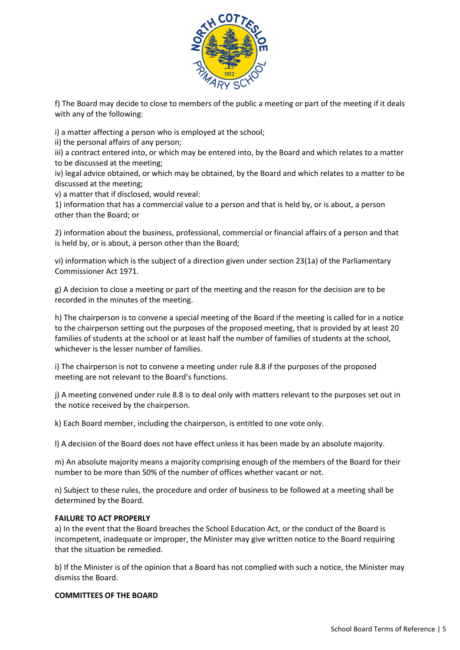

f) The Board may decide to close to members of the public a meeting or part of the meeting if it deals with any of the following:

i) a matter affecting a person who is employed at the school;

ii) the personal affairs of any person;

iii) a contract entered into, or which may be entered into, by the Board and which relates to a matter to be discussed at the meeting;

iv) legal advice obtained, or which may be obtained, by the Board and which relates to a matter to be discussed at the meeting;

v) a matter that if disclosed, would reveal:

1) information that has a commercial value to a person and that is held by, or is about, a person other than the Board; or

2) information about the business, professional, commercial or financial affairs of a person and that is held by, or is about, a person other than the Board;

vi) information which is the subject of a direction given under section 23(1a) of the Parliamentary Commissioner Act 1971.

g) A decision to close a meeting or part of the meeting and the reason for the decision are to be recorded in the minutes of the meeting.

h) The chairperson is to convene a special meeting of the Board if the meeting is called for in a notice to the chairperson setting out the purposes of the proposed meeting, that is provided by at least 20 families of students at the school or at least half the number of families of students at the school, whichever is the lesser number of families.

i) The chairperson is not to convene a meeting under rule 8.8 if the purposes of the proposed meeting are not relevant to the Board's functions.

j) A meeting convened under rule 8.8 is to deal only with matters relevant to the purposes set out in the notice received by the chairperson.

k) Each Board member, including the chairperson, is entitled to one vote only.

l) A decision of the Board does not have effect unless it has been made by an absolute majority.

m) An absolute majority means a majority comprising enough of the members of the Board for their number to be more than 50% of the number of offices whether vacant or not.

n) Subject to these rules, the procedure and order of business to be followed at a meeting shall be determined by the Board.

## **FAILURE TO ACT PROPERLY**

a) In the event that the Board breaches the School Education Act, or the conduct of the Board is incompetent, inadequate or improper, the Minister may give written notice to the Board requiring that the situation be remedied.

b) If the Minister is of the opinion that a Board has not complied with such a notice, the Minister may dismiss the Board.

#### **COMMITTEES OF THE BOARD**